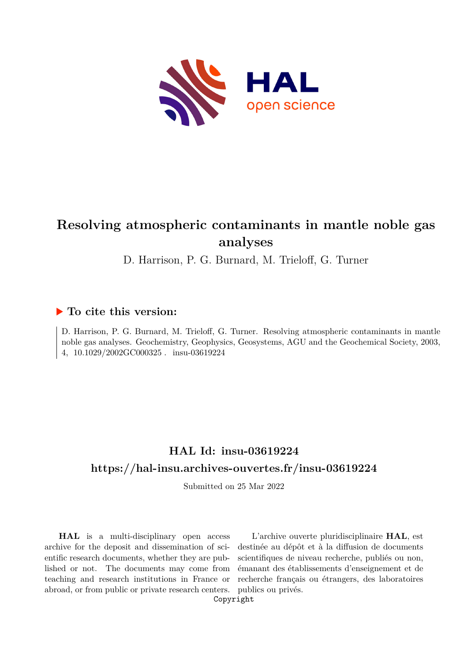

# **Resolving atmospheric contaminants in mantle noble gas analyses**

D. Harrison, P. G. Burnard, M. Trieloff, G. Turner

## **To cite this version:**

D. Harrison, P. G. Burnard, M. Trieloff, G. Turner. Resolving atmospheric contaminants in mantle noble gas analyses. Geochemistry, Geophysics, Geosystems, AGU and the Geochemical Society, 2003, 4, 10.1029/2002GC000325. insu-03619224

## **HAL Id: insu-03619224 <https://hal-insu.archives-ouvertes.fr/insu-03619224>**

Submitted on 25 Mar 2022

**HAL** is a multi-disciplinary open access archive for the deposit and dissemination of scientific research documents, whether they are published or not. The documents may come from teaching and research institutions in France or abroad, or from public or private research centers.

L'archive ouverte pluridisciplinaire **HAL**, est destinée au dépôt et à la diffusion de documents scientifiques de niveau recherche, publiés ou non, émanant des établissements d'enseignement et de recherche français ou étrangers, des laboratoires publics ou privés.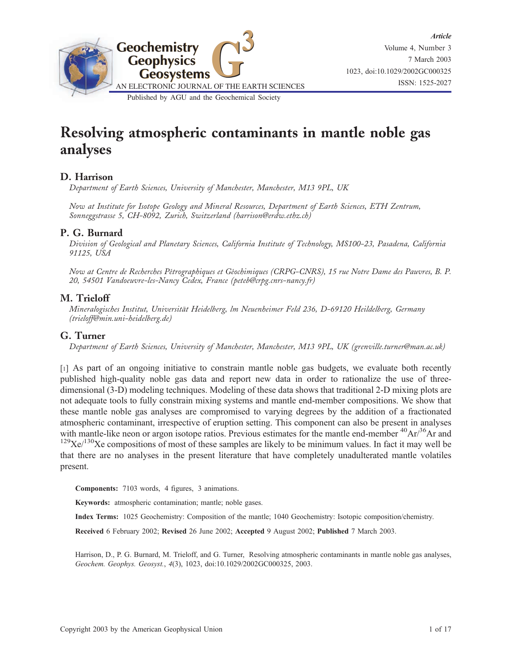

# Resolving atmospheric contaminants in mantle noble gas analyses

## D. Harrison

Department of Earth Sciences, University of Manchester, Manchester, M13 9PL, UK

Now at Institute for Isotope Geology and Mineral Resources, Department of Earth Sciences, ETH Zentrum, Sonneggstrasse 5, CH-8092, Zurich, Switzerland (harrison@erdw.ethz.ch)

#### P. G. Burnard

Division of Geological and Planetary Sciences, California Institute of Technology, MS100-23, Pasadena, California 91125, USA

Now at Centre de Recherches Pétrographiques et Géochimiques (CRPG-CNRS), 15 rue Notre Dame des Pauvres, B. P. 20, 54501 Vandoeuvre-les-Nancy Cedex, France (peteb@crpg.cnrs-nancy.fr)

#### M. Trieloff

Mineralogisches Institut, Universität Heidelberg, lm Neuenheimer Feld 236, D-69120 Heildelberg, Germany (trieloff@min.uni-heidelberg.de)

#### G. Turner

Department of Earth Sciences, University of Manchester, Manchester, M13 9PL, UK (grenville.turner@man.ac.uk)

[1] As part of an ongoing initiative to constrain mantle noble gas budgets, we evaluate both recently published high-quality noble gas data and report new data in order to rationalize the use of threedimensional (3-D) modeling techniques. Modeling of these data shows that traditional 2-D mixing plots are not adequate tools to fully constrain mixing systems and mantle end-member compositions. We show that these mantle noble gas analyses are compromised to varying degrees by the addition of a fractionated atmospheric contaminant, irrespective of eruption setting. This component can also be present in analyses with mantle-like neon or argon isotope ratios. Previous estimates for the mantle end-member  ${}^{40}Ar^{36}Ar$  and  $129$ Xe $/130$ Xe compositions of most of these samples are likely to be minimum values. In fact it may well be that there are no analyses in the present literature that have completely unadulterated mantle volatiles present.

Components: 7103 words, 4 figures, 3 animations.

Keywords: atmospheric contamination; mantle; noble gases.

Index Terms: 1025 Geochemistry: Composition of the mantle; 1040 Geochemistry: Isotopic composition/chemistry.

Received 6 February 2002; Revised 26 June 2002; Accepted 9 August 2002; Published 7 March 2003.

Harrison, D., P. G. Burnard, M. Trieloff, and G. Turner, Resolving atmospheric contaminants in mantle noble gas analyses, Geochem. Geophys. Geosyst., 4(3), 1023, doi:10.1029/2002GC000325, 2003.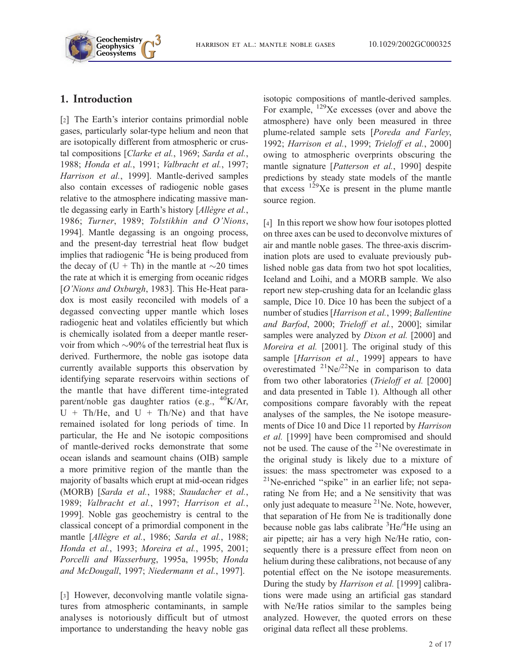

## 1. Introduction

[2] The Earth's interior contains primordial noble gases, particularly solar-type helium and neon that are isotopically different from atmospheric or crustal compositions [Clarke et al., 1969; Sarda et al., 1988; Honda et al., 1991; Valbracht et al., 1997; Harrison et al., 1999]. Mantle-derived samples also contain excesses of radiogenic noble gases relative to the atmosphere indicating massive mantle degassing early in Earth's history [Allègre et al., 1986; Turner, 1989; Tolstikhin and O'Nions, 1994]. Mantle degassing is an ongoing process, and the present-day terrestrial heat flow budget implies that radiogenic <sup>4</sup>He is being produced from the decay of  $(U + Th)$  in the mantle at  $\sim$ 20 times the rate at which it is emerging from oceanic ridges [O'Nions and Oxburgh, 1983]. This He-Heat paradox is most easily reconciled with models of a degassed convecting upper mantle which loses radiogenic heat and volatiles efficiently but which is chemically isolated from a deeper mantle reservoir from which  $\sim 90\%$  of the terrestrial heat flux is derived. Furthermore, the noble gas isotope data currently available supports this observation by identifying separate reservoirs within sections of the mantle that have different time-integrated parent/noble gas daughter ratios (e.g.,  $^{40}$ K/Ar,  $U + Th/He$ , and  $U + Th/Ne$ ) and that have remained isolated for long periods of time. In particular, the He and Ne isotopic compositions of mantle-derived rocks demonstrate that some ocean islands and seamount chains (OIB) sample a more primitive region of the mantle than the majority of basalts which erupt at mid-ocean ridges (MORB) [Sarda et al., 1988; Staudacher et al., 1989; Valbracht et al., 1997; Harrison et al., 1999]. Noble gas geochemistry is central to the classical concept of a primordial component in the mantle [Allègre et al., 1986; Sarda et al., 1988; Honda et al., 1993; Moreira et al., 1995, 2001; Porcelli and Wasserburg, 1995a, 1995b; Honda and McDougall, 1997; Niedermann et al., 1997].

[3] However, deconvolving mantle volatile signatures from atmospheric contaminants, in sample analyses is notoriously difficult but of utmost importance to understanding the heavy noble gas

isotopic compositions of mantle-derived samples. For example, 129Xe excesses (over and above the atmosphere) have only been measured in three plume-related sample sets [Poreda and Farley, 1992; Harrison et al., 1999; Trieloff et al., 2000] owing to atmospheric overprints obscuring the mantle signature [Patterson et al., 1990] despite predictions by steady state models of the mantle that excess  $129$ Xe is present in the plume mantle source region.

[4] In this report we show how four isotopes plotted on three axes can be used to deconvolve mixtures of air and mantle noble gases. The three-axis discrimination plots are used to evaluate previously published noble gas data from two hot spot localities, Iceland and Loihi, and a MORB sample. We also report new step-crushing data for an Icelandic glass sample, Dice 10. Dice 10 has been the subject of a number of studies [Harrison et al., 1999; Ballentine and Barfod, 2000; Trieloff et al., 2000]; similar samples were analyzed by *Dixon et al.* [2000] and Moreira et al. [2001]. The original study of this sample [Harrison et al., 1999] appears to have overestimated  $^{21}Ne/^{22}Ne$  in comparison to data from two other laboratories (Trieloff et al. [2000] and data presented in Table 1). Although all other compositions compare favorably with the repeat analyses of the samples, the Ne isotope measurements of Dice 10 and Dice 11 reported by Harrison et al. [1999] have been compromised and should not be used. The cause of the  $2^{1}$ Ne overestimate in the original study is likely due to a mixture of issues: the mass spectrometer was exposed to a  $^{21}$ Ne-enriched "spike" in an earlier life; not separating Ne from He; and a Ne sensitivity that was only just adequate to measure  $^{21}$ Ne. Note, however, that separation of He from Ne is traditionally done because noble gas labs calibrate <sup>3</sup>He/<sup>4</sup>He using an air pipette; air has a very high Ne/He ratio, consequently there is a pressure effect from neon on helium during these calibrations, not because of any potential effect on the Ne isotope measurements. During the study by Harrison et al. [1999] calibrations were made using an artificial gas standard with Ne/He ratios similar to the samples being analyzed. However, the quoted errors on these original data reflect all these problems.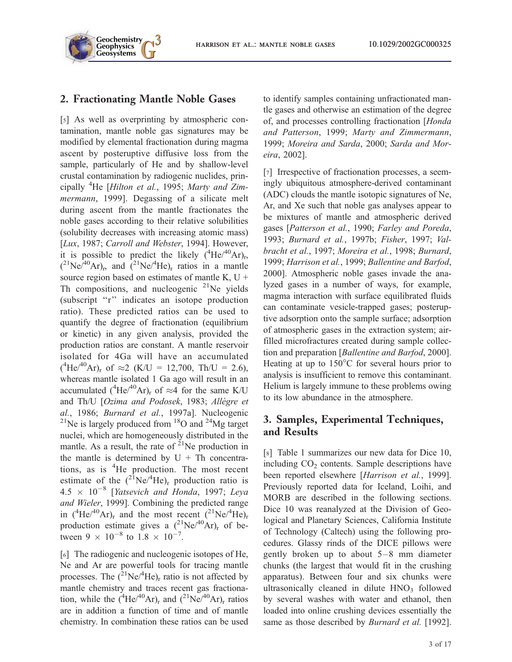**Geosystems G3** harrison et al.: mantle noble gases 10.1029/2002GC000325

## 2. Fractionating Mantle Noble Gases

**Geochemistry Geophysics**

[5] As well as overprinting by atmospheric contamination, mantle noble gas signatures may be modified by elemental fractionation during magma ascent by posteruptive diffusive loss from the sample, particularly of He and by shallow-level crustal contamination by radiogenic nuclides, principally <sup>4</sup>He [Hilton et al., 1995; Marty and Zimmermann, 1999]. Degassing of a silicate melt during ascent from the mantle fractionates the noble gases according to their relative solubilities (solubility decreases with increasing atomic mass) [Lux, 1987; Carroll and Webster, 1994]. However, it is possible to predict the likely  $(4\text{He}/^{40}\text{Ar})_{\text{r}}$ ,  $(^{21}Ne^{40}Ar)_{r}$ , and  $(^{21}Ne^{4}He)_{r}$  ratios in a mantle source region based on estimates of mantle K,  $U +$ Th compositions, and nucleogenic  $2^{1}$ Ne yields (subscript ''r'' indicates an isotope production ratio). These predicted ratios can be used to quantify the degree of fractionation (equilibrium or kinetic) in any given analysis, provided the production ratios are constant. A mantle reservoir isolated for 4Ga will have an accumulated  $(^{4}$ He/<sup>40</sup>Ar)<sub>r</sub> of  $\approx$ 2 (K/U = 12,700, Th/U = 2.6), whereas mantle isolated 1 Ga ago will result in an accumulated  $(^{4}He/^{40}Ar)_{r}$  of  $\approx$ 4 for the same K/U and Th/U [Ozima and Podosek, 1983; Allègre et al., 1986; Burnard et al., 1997a]. Nucleogenic <sup>21</sup>Ne is largely produced from  $18$ O and <sup>24</sup>Mg target nuclei, which are homogeneously distributed in the mantle. As a result, the rate of  $2^{1}$ Ne production in the mantle is determined by  $U + Th$  concentrations, as is <sup>4</sup>He production. The most recent estimate of the  $(^{21}\text{Ne}/^{4}\text{He})$ <sub>r</sub> production ratio is  $4.5 \times 10^{-8}$  [Yatsevich and Honda, 1997; Leya and Wieler, 1999]. Combining the predicted range in  $(^{4}He/^{40}Ar)_{r}$  and the most recent  $(^{21}Ne/^{4}He)_{r}$ production estimate gives a  $(^{21}\text{Ne}/^{40}\text{Ar})$ <sub>r</sub> of between  $9 \times 10^{-8}$  to  $1.8 \times 10^{-7}$ .

[6] The radiogenic and nucleogenic isotopes of He, Ne and Ar are powerful tools for tracing mantle processes. The  $({}^{21}Ne/{}^{4}He)_{r}$  ratio is not affected by mantle chemistry and traces recent gas fractionation, while the  $(^{4}$ He/<sup>40</sup>Ar)<sub>r</sub> and  $(^{21}$ Ne/<sup>40</sup>Ar)<sub>r</sub> ratios are in addition a function of time and of mantle chemistry. In combination these ratios can be used to identify samples containing unfractionated mantle gases and otherwise an estimation of the degree of, and processes controlling fractionation [Honda and Patterson, 1999; Marty and Zimmermann, 1999; Moreira and Sarda, 2000; Sarda and Moreira, 2002].

[7] Irrespective of fractionation processes, a seemingly ubiquitous atmosphere-derived contaminant (ADC) clouds the mantle isotopic signatures of Ne, Ar, and Xe such that noble gas analyses appear to be mixtures of mantle and atmospheric derived gases [Patterson et al., 1990; Farley and Poreda, 1993; Burnard et al., 1997b; Fisher, 1997; Valbracht et al., 1997; Moreira et al., 1998; Burnard, 1999; Harrison et al., 1999; Ballentine and Barfod, 2000]. Atmospheric noble gases invade the analyzed gases in a number of ways, for example, magma interaction with surface equilibrated fluids can contaminate vesicle-trapped gases; posteruptive adsorption onto the sample surface; adsorption of atmospheric gases in the extraction system; airfilled microfractures created during sample collection and preparation [Ballentine and Barfod, 2000]. Heating at up to  $150^{\circ}$ C for several hours prior to analysis is insufficient to remove this contaminant. Helium is largely immune to these problems owing to its low abundance in the atmosphere.

## 3. Samples, Experimental Techniques, and Results

[8] Table 1 summarizes our new data for Dice 10, including  $CO<sub>2</sub>$  contents. Sample descriptions have been reported elsewhere [Harrison et al., 1999]. Previously reported data for Iceland, Loihi, and MORB are described in the following sections. Dice 10 was reanalyzed at the Division of Geological and Planetary Sciences, California Institute of Technology (Caltech) using the following procedures. Glassy rinds of the DICE pillows were gently broken up to about 5–8 mm diameter chunks (the largest that would fit in the crushing apparatus). Between four and six chunks were ultrasonically cleaned in dilute  $HNO<sub>3</sub>$  followed by several washes with water and ethanol, then loaded into online crushing devices essentially the same as those described by *Burnard et al.* [1992].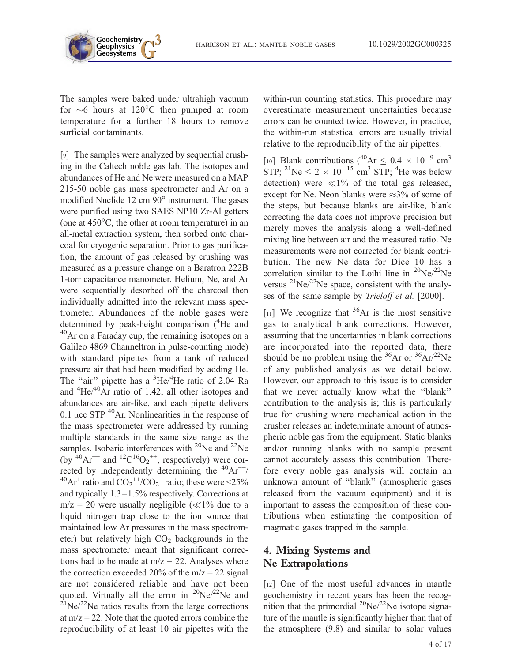

The samples were baked under ultrahigh vacuum for  $\sim$ 6 hours at 120 $^{\circ}$ C then pumped at room temperature for a further 18 hours to remove surficial contaminants.

[9] The samples were analyzed by sequential crushing in the Caltech noble gas lab. The isotopes and abundances of He and Ne were measured on a MAP 215-50 noble gas mass spectrometer and Ar on a modified Nuclide 12 cm  $90^\circ$  instrument. The gases were purified using two SAES NP10 Zr-Al getters (one at  $450^{\circ}$ C, the other at room temperature) in an all-metal extraction system, then sorbed onto charcoal for cryogenic separation. Prior to gas purification, the amount of gas released by crushing was measured as a pressure change on a Baratron 222B 1-torr capacitance manometer. Helium, Ne, and Ar were sequentially desorbed off the charcoal then individually admitted into the relevant mass spectrometer. Abundances of the noble gases were determined by peak-height comparison (<sup>4</sup>He and  $40$ Ar on a Faraday cup, the remaining isotopes on a Galileo 4869 Channeltron in pulse-counting mode) with standard pipettes from a tank of reduced pressure air that had been modified by adding He. The "air" pipette has a  ${}^{3}$ He/ ${}^{4}$ He ratio of 2.04 Ra and  ${}^{4}$ He/ ${}^{40}$ Ar ratio of 1.42; all other isotopes and abundances are air-like, and each pipette delivers 0.1  $\mu$ cc STP  $^{40}$ Ar. Nonlinearities in the response of the mass spectrometer were addressed by running multiple standards in the same size range as the samples. Isobaric interferences with  $^{20}$ Ne and  $^{22}$ Ne (by  $40Ar^{++}$  and  $12C^{16}O_2^{++}$ , respectively) were corrected by independently determining the  ${}^{40}Ar^{++}$ / <sup>40</sup>Ar<sup>+</sup> ratio and  $CO_2^{\text{++}}/CO_2^{\text{+}}$  ratio; these were <25% and typically 1.3–1.5% respectively. Corrections at  $m/z = 20$  were usually negligible ( $\ll 1\%$  due to a liquid nitrogen trap close to the ion source that maintained low Ar pressures in the mass spectrometer) but relatively high  $CO<sub>2</sub>$  backgrounds in the mass spectrometer meant that significant corrections had to be made at  $m/z = 22$ . Analyses where the correction exceeded 20% of the  $m/z = 22$  signal are not considered reliable and have not been quoted. Virtually all the error in  $^{20}Ne/^{22}Ne$  and  $^{21}$ Ne/<sup>22</sup>Ne ratios results from the large corrections at  $m/z = 22$ . Note that the quoted errors combine the reproducibility of at least 10 air pipettes with the

within-run counting statistics. This procedure may overestimate measurement uncertainties because errors can be counted twice. However, in practice, the within-run statistical errors are usually trivial relative to the reproducibility of the air pipettes.

[10] Blank contributions ( $^{40}Ar \leq 0.4 \times 10^{-9}$  cm<sup>3</sup> STP; <sup>21</sup>Ne  $\leq 2 \times 10^{-15}$  cm<sup>3</sup> STP; <sup>4</sup>He was below detection) were  $\ll 1\%$  of the total gas released, except for Ne. Neon blanks were  $\approx 3\%$  of some of the steps, but because blanks are air-like, blank correcting the data does not improve precision but merely moves the analysis along a well-defined mixing line between air and the measured ratio. Ne measurements were not corrected for blank contribution. The new Ne data for Dice 10 has a correlation similar to the Loihi line in  $^{20}Ne^{22}Ne$ versus  $^{21}Ne/^{22}Ne$  space, consistent with the analyses of the same sample by Trieloff et al. [2000].

[11] We recognize that  $36Ar$  is the most sensitive gas to analytical blank corrections. However, assuming that the uncertainties in blank corrections are incorporated into the reported data, there should be no problem using the  ${}^{36}Ar$  or  ${}^{36}Ar/{}^{22}Ne$ of any published analysis as we detail below. However, our approach to this issue is to consider that we never actually know what the ''blank'' contribution to the analysis is; this is particularly true for crushing where mechanical action in the crusher releases an indeterminate amount of atmospheric noble gas from the equipment. Static blanks and/or running blanks with no sample present cannot accurately assess this contribution. Therefore every noble gas analysis will contain an unknown amount of ''blank'' (atmospheric gases released from the vacuum equipment) and it is important to assess the composition of these contributions when estimating the composition of magmatic gases trapped in the sample.

## 4. Mixing Systems and Ne Extrapolations

[12] One of the most useful advances in mantle geochemistry in recent years has been the recognition that the primordial  $^{20}$ Ne $^{22}$ Ne isotope signature of the mantle is significantly higher than that of the atmosphere (9.8) and similar to solar values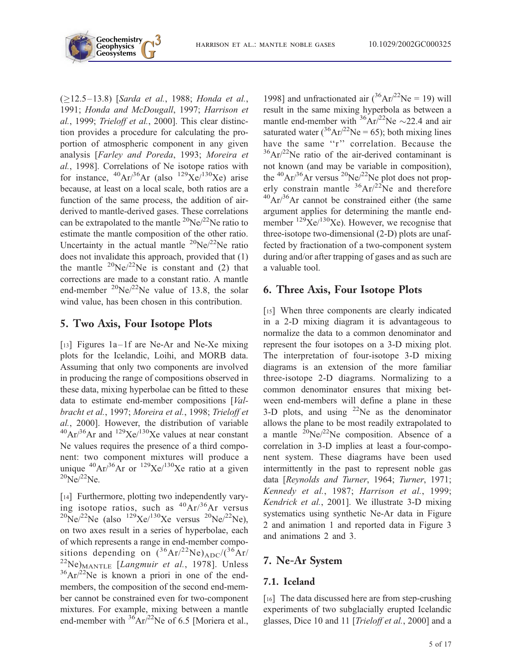

 $(≥12.5–13.8)$  [Sarda et al., 1988; Honda et al., 1991; Honda and McDougall, 1997; Harrison et al., 1999; Trieloff et al., 2000]. This clear distinction provides a procedure for calculating the proportion of atmospheric component in any given analysis [Farley and Poreda, 1993; Moreira et al., 1998]. Correlations of Ne isotope ratios with for instance,  $^{40}Ar/^{36}Ar$  (also  $^{129}Xe/^{130}Xe$ ) arise because, at least on a local scale, both ratios are a function of the same process, the addition of airderived to mantle-derived gases. These correlations can be extrapolated to the mantle  $^{20}Ne^{22}Ne$  ratio to estimate the mantle composition of the other ratio. Uncertainty in the actual mantle  $^{20}$ Ne/ $^{22}$ Ne ratio does not invalidate this approach, provided that (1) the mantle  $^{20}Ne/^{22}Ne$  is constant and (2) that corrections are made to a constant ratio. A mantle end-member  $^{20}Ne/^{22}Ne$  value of 13.8, the solar wind value, has been chosen in this contribution.

#### 5. Two Axis, Four Isotope Plots

[13] Figures 1a–1f are Ne-Ar and Ne-Xe mixing plots for the Icelandic, Loihi, and MORB data. Assuming that only two components are involved in producing the range of compositions observed in these data, mixing hyperbolae can be fitted to these data to estimate end-member compositions [Valbracht et al., 1997; Moreira et al., 1998; Trieloff et al., 2000]. However, the distribution of variable  $^{40}Ar/^{36}Ar$  and  $^{129}Xe/^{130}Xe$  values at near constant Ne values requires the presence of a third component: two component mixtures will produce a unique  ${}^{40}Ar/{}^{36}Ar$  or  ${}^{129}Xe/{}^{130}Xe$  ratio at a given  $^{20}Ne/^{22}Ne.$ 

[14] Furthermore, plotting two independently varying isotope ratios, such as  ${}^{40}Ar/{}^{36}Ar$  versus  $^{20}Ne/^{22}Ne$  (also  $^{129}Xe/^{130}Xe$  versus  $^{20}Ne/^{22}Ne$ ), on two axes result in a series of hyperbolae, each of which represents a range in end-member compositions depending on  $(36Ar)^{22}Ne)_{ADC}/(36Ar/$  $^{22}$ Ne)<sub>MANTLE</sub> [*Langmuir et al.*, 1978]. Unless  $36Ar^{22}$ Ne is known a priori in one of the endmembers, the composition of the second end-member cannot be constrained even for two-component mixtures. For example, mixing between a mantle end-member with  $\frac{36}{9}Ar^{22}$ Ne of 6.5 [Moriera et al.,

1998] and unfractionated air  $({}^{36}Ar/{}^{22}Ne = 19)$  will result in the same mixing hyperbola as between a mantle end-member with  ${}^{36}Ar/{}^{22}Ne \sim 22.4$  and air saturated water  $(^{36}Ar^{22}Ne = 65)$ ; both mixing lines have the same "r" correlation. Because the  $36Ar^{22}$ Ne ratio of the air-derived contaminant is not known (and may be variable in composition), the  ${}^{40}Ar/{}^{36}Ar$  versus  ${}^{20}Ne/{}^{22}Ne$  plot does not properly constrain mantle  ${}^{36}Ar/{}^{22}Ne$  and therefore  $^{40}Ar/^{36}Ar$  cannot be constrained either (the same argument applies for determining the mantle endmember  $^{129}$ Xe/ $^{130}$ Xe). However, we recognise that three-isotope two-dimensional (2-D) plots are unaffected by fractionation of a two-component system during and/or after trapping of gases and as such are a valuable tool.

## 6. Three Axis, Four Isotope Plots

[15] When three components are clearly indicated in a 2-D mixing diagram it is advantageous to normalize the data to a common denominator and represent the four isotopes on a 3-D mixing plot. The interpretation of four-isotope 3-D mixing diagrams is an extension of the more familiar three-isotope 2-D diagrams. Normalizing to a common denominator ensures that mixing between end-members will define a plane in these 3-D plots, and using  $2^2$ Ne as the denominator allows the plane to be most readily extrapolated to a mantle  $^{20}Ne/^{22}Ne$  composition. Absence of a correlation in 3-D implies at least a four-component system. These diagrams have been used intermittently in the past to represent noble gas data [Reynolds and Turner, 1964; Turner, 1971; Kennedy et al., 1987; Harrison et al., 1999; Kendrick et al., 2001]. We illustrate 3-D mixing systematics using synthetic Ne-Ar data in Figure 2 and animation 1 and reported data in Figure 3 and animations 2 and 3.

## 7. Ne-Ar System

#### 7.1. Iceland

[16] The data discussed here are from step-crushing experiments of two subglacially erupted Icelandic glasses, Dice 10 and 11 [Trieloff et al., 2000] and a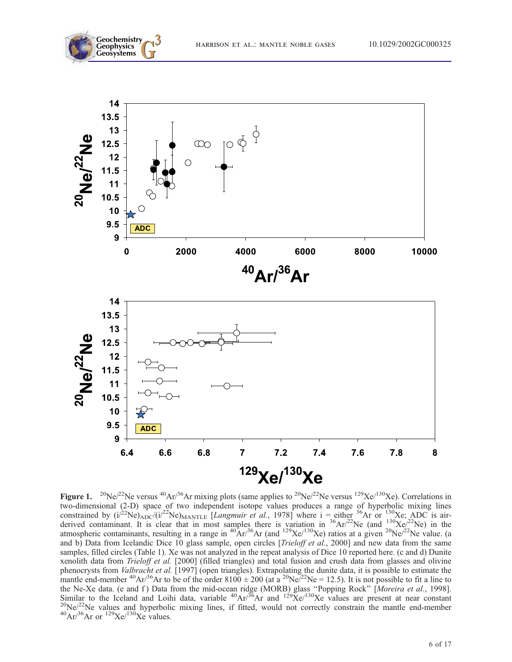



Figure 1. <sup>20</sup>Ne/<sup>22</sup>Ne versus <sup>40</sup>Ar/<sup>36</sup>Ar mixing plots (same applies to <sup>20</sup>Ne/<sup>22</sup>Ne versus <sup>129</sup>Xe/<sup>130</sup>Xe). Correlations in two-dimensional (2-D) space of two independent isotope values produces a range of hyperbolic mixing lines constrained by  $(i)^{22}Ne$ ) $_{ADC}/(i)^{22}Ne$ ) $_{MANTLE}$  [Langmuir et al., 1978] where  $i =$  either <sup>36</sup>Ar or  $^{130}$ Xe; ADC is airderived contaminant. It is clear that in most samples there is variation in  ${}^{36}Ar/{}^{22}Ne$  (and  ${}^{130}Xe/{}^{22}Ne$ ) in the atmospheric contaminants, resulting in a range in  ${}^{40}Ar/{}^{36}Ar$  (and  ${}^{129}Xe/{}^{130}Xe$ ) ratios at a given  ${}^{20}Ne/{}^{22}Ne$  value. (a and b) Data from Icelandic Dice 10 glass sample, open circles [Trieloff et al., 2000] and new data from the same samples, filled circles (Table 1). Xe was not analyzed in the repeat analysis of Dice 10 reported here. (c and d) Dunite xenolith data from Trieloff et al. [2000] (filled triangles) and total fusion and crush data from glasses and olivine phenocrysts from *Valbracht et al.* [1997] (open triangles). Extrapolating the dunite data, it is possible to estimate the mantle end-member <sup>40</sup>Ar/<sup>36</sup>Ar to be of the order  $8100 \pm 200$  (at a <sup>20</sup>Ne<sup> $/22$ </sup>Ne = 12.5). It is not possible to fit a line to the Ne-Xe data. (e and f) Data from the mid-ocean ridge (MORB) glass "Popping Rock" [Moreira et al., 1998]. Similar to the Iceland and Loihi data, variable <sup>40</sup>Ar/<sup>36</sup>Ar and <sup>129</sup>Xe/<sup>130</sup>Xe values are present at near constant <sup>20</sup>Ne/<sup>22</sup>Ne values and hyperbolic mixing lines, if fitted, would not correctly constrain the mantle e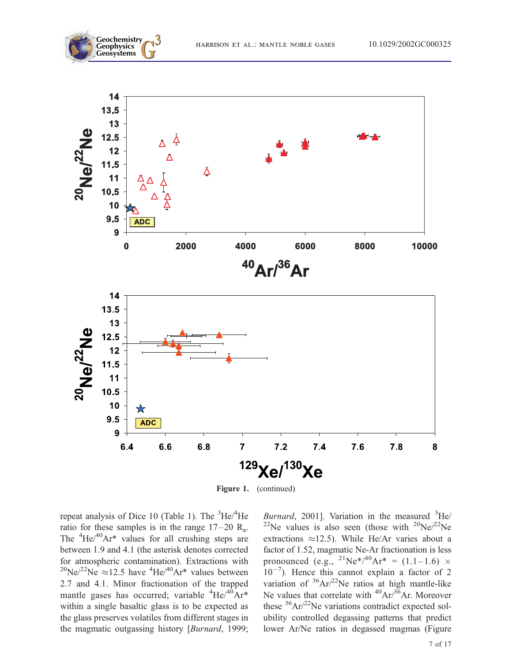



Figure 1. (continued)

repeat analysis of Dice 10 (Table 1). The <sup>3</sup>He/<sup>4</sup>He ratio for these samples is in the range  $17-20$  R<sub>a</sub>. The  ${}^{4}$ He/ ${}^{40}$ Ar\* values for all crushing steps are between 1.9 and 4.1 (the asterisk denotes corrected for atmospheric contamination). Extractions with <sup>20</sup>Ne/<sup>22</sup>Ne  $\approx$ 12.5 have <sup>4</sup>He/<sup>40</sup>Ar<sup>\*</sup> values between 2.7 and 4.1. Minor fractionation of the trapped mantle gases has occurred; variable <sup>4</sup>He/<sup>40</sup>Ar\* within a single basaltic glass is to be expected as the glass preserves volatiles from different stages in the magmatic outgassing history [Burnard, 1999;

Burnard, 2001]. Variation in the measured  ${}^{3}$ He/ <sup>22</sup>Ne values is also seen (those with <sup>20</sup>Ne/<sup>22</sup>Ne extractions  $\approx$ 12.5). While He/Ar varies about a factor of 1.52, magmatic Ne-Ar fractionation is less pronounced (e.g., <sup>21</sup>Ne<sup>\*</sup>/<sup>40</sup>Ar<sup>\*</sup> = (1.1–1.6) ×  $10^{-7}$ ). Hence this cannot explain a factor of 2 variation of  $36Ar^{22}$ Ne ratios at high mantle-like Ne values that correlate with  ${}^{40}Ar/{}^{36}Ar$ . Moreover these  ${}^{36}Ar/{}^{22}Ne$  variations contradict expected solubility controlled degassing patterns that predict lower Ar/Ne ratios in degassed magmas (Figure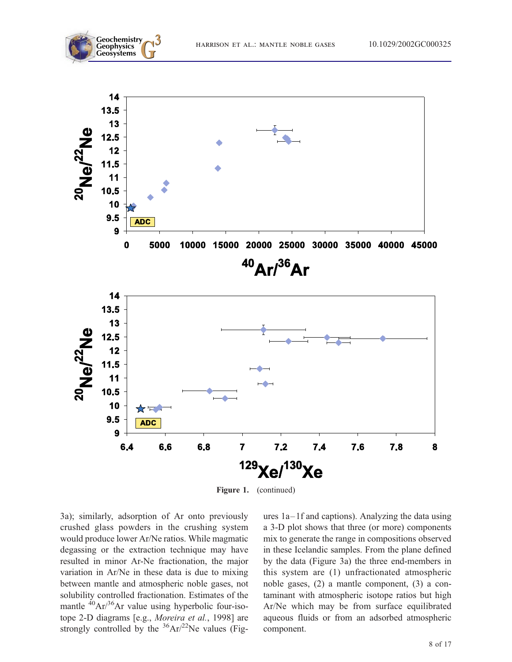



Figure 1. (continued)

3a); similarly, adsorption of Ar onto previously crushed glass powders in the crushing system would produce lower Ar/Ne ratios. While magmatic degassing or the extraction technique may have resulted in minor Ar-Ne fractionation, the major variation in Ar/Ne in these data is due to mixing between mantle and atmospheric noble gases, not solubility controlled fractionation. Estimates of the mantle  ${}^{40}Ar/{}^{36}Ar$  value using hyperbolic four-isotope 2-D diagrams [e.g., Moreira et al., 1998] are strongly controlled by the  $36Ar^{22}$ Ne values (Figures 1a–1f and captions). Analyzing the data using a 3-D plot shows that three (or more) components mix to generate the range in compositions observed in these Icelandic samples. From the plane defined by the data (Figure 3a) the three end-members in this system are (1) unfractionated atmospheric noble gases, (2) a mantle component, (3) a contaminant with atmospheric isotope ratios but high Ar/Ne which may be from surface equilibrated aqueous fluids or from an adsorbed atmospheric component.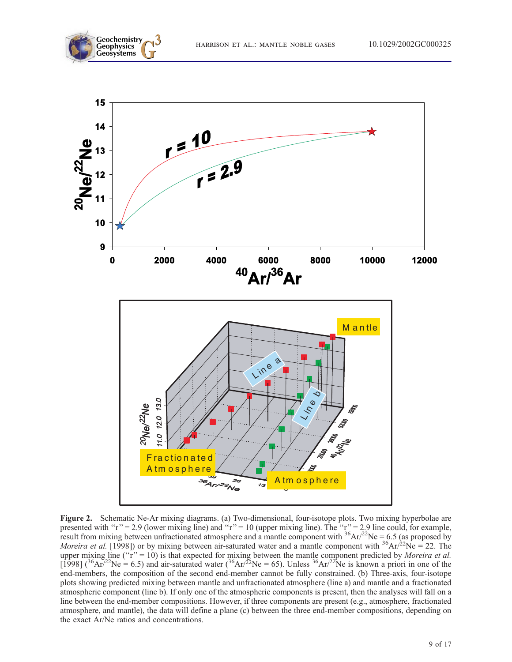





Figure 2. Schematic Ne-Ar mixing diagrams. (a) Two-dimensional, four-isotope plots. Two mixing hyperbolae are presented with "r" = 2.9 (lower mixing line) and "r" = 10 (upper mixing line). The "r" = 2.9 line could, for example, result from mixing between unfractionated atmosphere and a mantle component with  $36Ar^{22}Ne = 6.5$  (as proposed by Moreira et al. [1998]) or by mixing between air-saturated water and a mantle component with  $36Ar/22Ne = 22$ . The upper mixing line ( $rr' = 10$ ) is that expected for mixing between the mantle component predicted by *Moreira et al.* [1998] (<sup>36</sup>Ar<sup>/22</sup>Ne = 6.5) and air-saturated water (<sup>36</sup>Ar/<sup>22</sup>Ne = 65). Unless <sup>36</sup>Ar/<sup>22</sup>Ne is known a priori in one of the end-members, the composition of the second end-member cannot be fully constrained. (b) Three-axis, four-isotope plots showing predicted mixing between mantle and unfractionated atmosphere (line a) and mantle and a fractionated atmospheric component (line b). If only one of the atmospheric components is present, then the analyses will fall on a line between the end-member compositions. However, if three components are present (e.g., atmosphere, fractionated atmosphere, and mantle), the data will define a plane (c) between the three end-member compositions, depending on the exact Ar/Ne ratios and concentrations.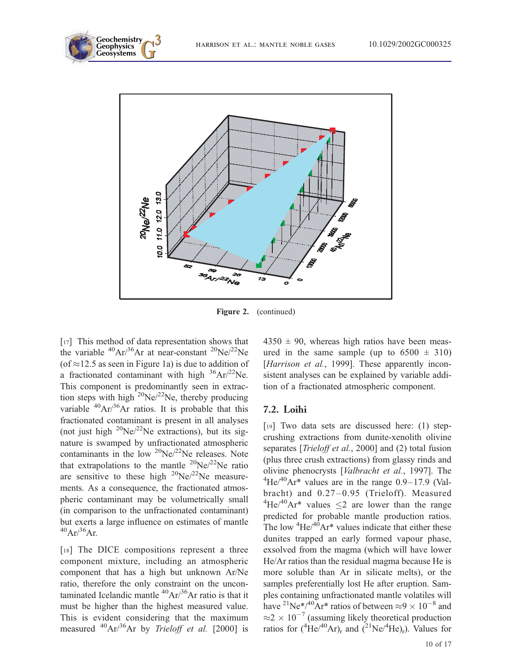



Figure 2. (continued)

[17] This method of data representation shows that the variable  ${}^{40}Ar/{}^{36}Ar$  at near-constant  ${}^{20}Ne/{}^{22}Ne$ (of  $\approx$ 12.5 as seen in Figure 1a) is due to addition of a fractionated contaminant with high  ${}^{36}Ar/{}^{22}Ne$ . This component is predominantly seen in extraction steps with high  $^{20}$ Ne/ $^{22}$ Ne, thereby producing variable  ${}^{40}Ar/{}^{36}Ar$  ratios. It is probable that this fractionated contaminant is present in all analyses (not just high  $^{20}$ Ne/ $^{22}$ Ne extractions), but its signature is swamped by unfractionated atmospheric contaminants in the low  ${}^{20}$ Ne $/{}^{22}$ Ne releases. Note that extrapolations to the mantle  $^{20}Ne/^{22}Ne$  ratio are sensitive to these high  $^{20}$ Ne/ $^{22}$ Ne measurements. As a consequence, the fractionated atmospheric contaminant may be volumetrically small (in comparison to the unfractionated contaminant) but exerts a large influence on estimates of mantle  $^{40}Ar/^{36}Ar.$ 

[18] The DICE compositions represent a three component mixture, including an atmospheric component that has a high but unknown Ar/Ne ratio, therefore the only constraint on the uncontaminated Icelandic mantle  ${}^{40}Ar/{}^{36}Ar$  ratio is that it must be higher than the highest measured value. This is evident considering that the maximum measured  $^{40}Ar^{36}Ar$  by Trieloff et al. [2000] is  $4350 \pm 90$ , whereas high ratios have been measured in the same sample (up to  $6500 \pm 310$ ) [*Harrison et al.*, 1999]. These apparently inconsistent analyses can be explained by variable addition of a fractionated atmospheric component.

#### 7.2. Loihi

[19] Two data sets are discussed here: (1) stepcrushing extractions from dunite-xenolith olivine separates [*Trieloff et al.*, 2000] and (2) total fusion (plus three crush extractions) from glassy rinds and olivine phenocrysts [Valbracht et al., 1997]. The  $^{4}$ He/ $^{40}$ Ar<sup>\*</sup> values are in the range 0.9–17.9 (Valbracht) and  $0.27-0.95$  (Trieloff). Measured <sup>4</sup>He/<sup>40</sup>Ar<sup>\*</sup> values  $\leq$  2 are lower than the range predicted for probable mantle production ratios. The low  ${}^{4}$ He/ ${}^{40}$ Ar<sup>\*</sup> values indicate that either these dunites trapped an early formed vapour phase, exsolved from the magma (which will have lower He/Ar ratios than the residual magma because He is more soluble than Ar in silicate melts), or the samples preferentially lost He after eruption. Samples containing unfractionated mantle volatiles will have <sup>21</sup>Ne<sup>\*</sup>/<sup>40</sup>Ar<sup>\*</sup> ratios of between  $\approx$  9  $\times$  10<sup>-8</sup> and  $\approx$  2  $\times$  10<sup>-7</sup> (assuming likely theoretical production ratios for  $({}^{4}He/{}^{40}Ar)_{r}$  and  $({}^{21}Ne/{}^{4}He)_{r}$ ). Values for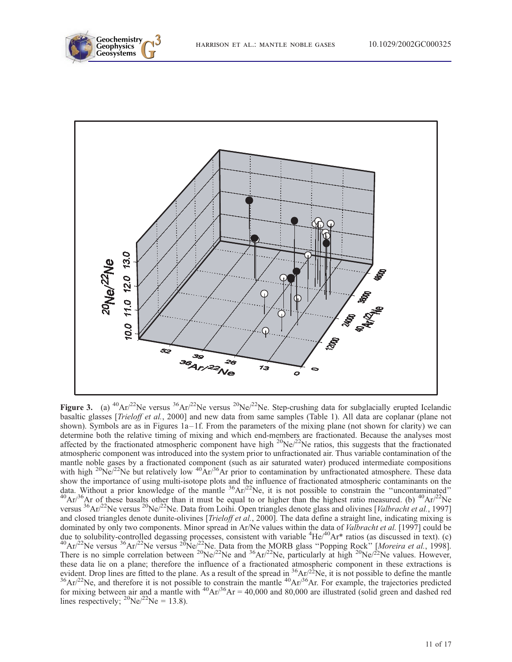



Figure 3. (a) <sup>40</sup>Ar/<sup>22</sup>Ne versus <sup>36</sup>Ar/<sup>22</sup>Ne versus <sup>20</sup>Ne/<sup>22</sup>Ne. Step-crushing data for subglacially erupted Icelandic basaltic glasses [*Trieloff et al.*, 2000] and new data from same samples (Table 1). All data are coplanar (plane not shown). Symbols are as in Figures  $1a-1f$ . From the parameters of the mixing plane (not shown for clarity) we can determine both the relative timing of mixing and which end-members are fractionated. Because the analyses most affected by the fractionated atmospheric component have high  $20Ne/22Ne$  ratios, this suggests that the fractionated atmospheric component was introduced into the system prior to unfractionated air. Thus variable contamination of the mantle noble gases by a fractionated component (such as air saturated water) produced intermediate compositions with high  $^{20}$ Ne/<sup>22</sup>Ne but relatively low  $^{40}$ Ar/<sup>36</sup>Ar prior to contamination by unfractionated atmosphere. These data show the importance of using multi-isotope plots and the influence of fractionated atmospheric contaminants on the data. Without a prior knowledge of the mantle  ${}^{36}Ar/{}^{22}Ne$ , it is not possible to constrain the "uncontaminated"<br><sup>40</sup>Ar/<sup>36</sup>Ar of these basalts other than it must be equal to or higher than the highest ratio measured. versus <sup>36</sup>Ar/<sup>22</sup>Ne versus <sup>20</sup>Ne/<sup>22</sup>Ne. Data from Loihi. Open triangles denote glass and olivines [Valbracht et al., 1997] and closed triangles denote dunite-olivines [*Trieloff et al.*, 2000]. The data define a straight line, indicating mixing is dominated by only two components. Minor spread in Ar/Ne values within the data of *Valbracht et al.* [1997] could be due to solubility-controlled degassing processes, consistent with variable <sup>4</sup>He/<sup>40</sup>Ar<sup>\*</sup> ratios (as discussed in text). (c)  $^{40}Ar^{22}Ne$  versus  $^{26}Ar^{22}Ne$  versus  $^{20}Ne^{22}Ne$ . Data from the MORB glass "Popping Rock" [ There is no simple correlation between <sup>20</sup>Ne/<sup>22</sup>Ne and <sup>36</sup>Ar/<sup>22</sup>Ne, particularly at high <sup>20</sup>Ne/<sup>22</sup>Ne values. However, these data lie on a plane; therefore the influence of a fractionated atmospheric component in these extractions is evident. Drop lines are fitted to the plane. As a result of the spread in <sup>36</sup>Ar/<sup>22</sup>Ne, it is not possible to define the mantle  ${}^{36}Ar/{}^{22}Ne$ , and therefore it is not possible to constrain the mantle  ${}^{40}Ar/{}^{36}Ar$ . F for mixing between air and a mantle with  $^{40}Ar^{36}Ar = 40,000$  and 80,000 are illustrated (solid green and dashed red lines respectively;  $^{20}$ Ne/ $^{22}$ Ne = 13.8).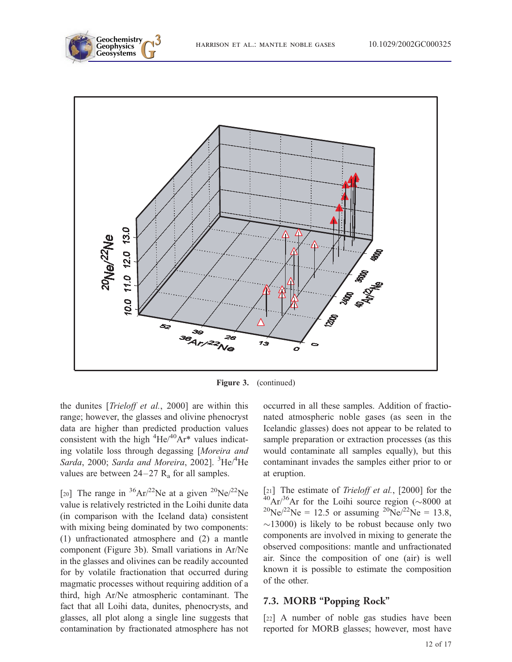



Figure 3. (continued)

the dunites [*Trieloff et al.*, 2000] are within this range; however, the glasses and olivine phenocryst data are higher than predicted production values consistent with the high  ${}^{4}$ He/ ${}^{40}$ Ar<sup>\*</sup> values indicating volatile loss through degassing [Moreira and Sarda, 2000; Sarda and Moreira, 2002]. <sup>3</sup>He/<sup>4</sup>He values are between  $24-27$   $R_a$  for all samples.

[20] The range in  ${}^{36}Ar/{}^{22}Ne$  at a given  ${}^{20}Ne/{}^{22}Ne$ value is relatively restricted in the Loihi dunite data (in comparison with the Iceland data) consistent with mixing being dominated by two components: (1) unfractionated atmosphere and (2) a mantle component (Figure 3b). Small variations in Ar/Ne in the glasses and olivines can be readily accounted for by volatile fractionation that occurred during magmatic processes without requiring addition of a third, high Ar/Ne atmospheric contaminant. The fact that all Loihi data, dunites, phenocrysts, and glasses, all plot along a single line suggests that contamination by fractionated atmosphere has not occurred in all these samples. Addition of fractionated atmospheric noble gases (as seen in the Icelandic glasses) does not appear to be related to sample preparation or extraction processes (as this would contaminate all samples equally), but this contaminant invades the samples either prior to or at eruption.

[21] The estimate of *Trieloff et al.*, [2000] for the  $^{40}Ar/^{36}Ar$  for the Loihi source region ( $\sim$ 8000 at  $^{20}Ne/^{22}Ne = 12.5$  or assuming  $^{20}Ne/^{22}Ne = 13.8$ ,  $\sim$ 13000) is likely to be robust because only two components are involved in mixing to generate the observed compositions: mantle and unfractionated air. Since the composition of one (air) is well known it is possible to estimate the composition of the other.

#### 7.3. MORB ''Popping Rock''

[22] A number of noble gas studies have been reported for MORB glasses; however, most have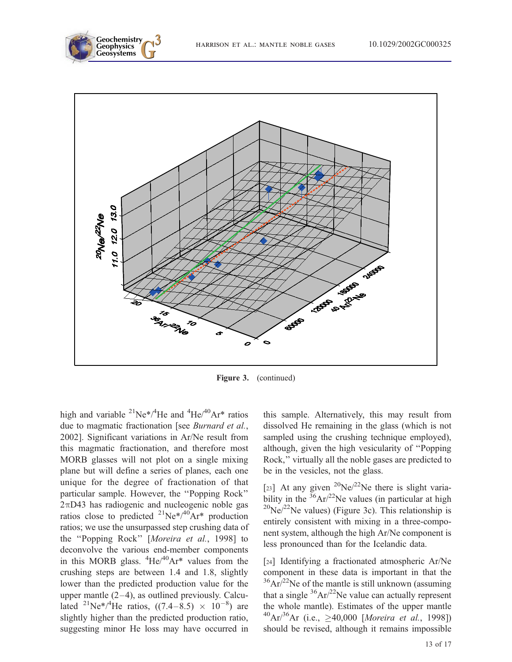



Figure 3. (continued)

high and variable  $^{21}Ne^{*/4}He$  and  $^{4}He/^{40}Ar^{*}$  ratios due to magmatic fractionation [see Burnard et al., 2002]. Significant variations in Ar/Ne result from this magmatic fractionation, and therefore most MORB glasses will not plot on a single mixing plane but will define a series of planes, each one unique for the degree of fractionation of that particular sample. However, the ''Popping Rock''  $2\pi$ D43 has radiogenic and nucleogenic noble gas ratios close to predicted  $^{21}Ne^{*/40}Ar^{*}$  production ratios; we use the unsurpassed step crushing data of the ''Popping Rock'' [Moreira et al., 1998] to deconvolve the various end-member components in this MORB glass.  ${}^{4}$ He/ ${}^{40}$ Ar<sup>\*</sup> values from the crushing steps are between 1.4 and 1.8, slightly lower than the predicted production value for the upper mantle  $(2-4)$ , as outlined previously. Calculated <sup>21</sup>Ne<sup>\*</sup>/<sup>4</sup>He ratios, ((7.4–8.5)  $\times$  10<sup>-8</sup>) are slightly higher than the predicted production ratio, suggesting minor He loss may have occurred in

this sample. Alternatively, this may result from dissolved He remaining in the glass (which is not sampled using the crushing technique employed), although, given the high vesicularity of ''Popping Rock,'' virtually all the noble gases are predicted to be in the vesicles, not the glass.

[23] At any given  $^{20}Ne/^{22}Ne$  there is slight variability in the  $36Ar^{22}$ Ne values (in particular at high  $^{20}$ Ne/<sup>22</sup>Ne values) (Figure 3c). This relationship is entirely consistent with mixing in a three-component system, although the high Ar/Ne component is less pronounced than for the Icelandic data.

[24] Identifying a fractionated atmospheric Ar/Ne component in these data is important in that the  $36Ar^{22}$ Ne of the mantle is still unknown (assuming that a single  ${}^{36}Ar/{}^{22}Ne$  value can actually represent the whole mantle). Estimates of the upper mantle  $^{40}Ar^{36}Ar$  (i.e.,  $\geq 40,000$  [Moreira et al., 1998]) should be revised, although it remains impossible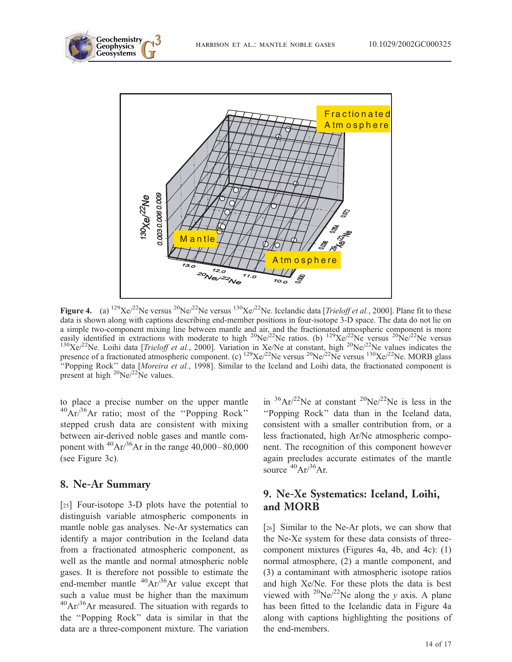





Figure 4. (a)  $^{129}\text{Xe}^{22}\text{Ne}$  versus  $^{20}\text{Ne}^{22}\text{Ne}$  versus  $^{130}\text{Xe}^{22}\text{Ne}$ . Icelandic data [*Trieloff et al.*, 2000]. Plane fit to these data is shown along with captions describing end-member positions in four-isotope 3-D space. The data do not lie on a simple two-component mixing line between mantle and air, and the fractionated atmospheric component is more easily identified in extractions with moderate to high <sup>20</sup>Ne/<sup>22</sup>Ne ratios. (b) <sup>129</sup>Xe/<sup>22</sup>Ne versus <sup>20</sup>Ne/<sup>22</sup>Ne versus  $^{130}\text{Xe}^{22}\text{Ne}$ . Loihi data [*Trieloff et al.*, 2000]. Variation in Xe/Ne at constant, high  $^{20}\text{Ne}/^{22}\text{Ne}$  values indicates the presence of a fractionated atmospheric component. (c)  $^{129}Xe^{j22}$ Ne versus  $^{20}Ne^{j22}Ne$  versus  $^{130}Xe^{j22}Ne$ . MORB glass ''Popping Rock'' data [Moreira et al., 1998]. Similar to the Iceland and Loihi data, the fractionated component is present at high  $^{20}Ne/^{22}Ne$  values.

to place a precise number on the upper mantle 40Ar/36Ar ratio; most of the ''Popping Rock'' stepped crush data are consistent with mixing between air-derived noble gases and mantle component with  $^{40}Ar/^{36}Ar$  in the range 40,000–80,000 (see Figure 3c).

## 8. Ne-Ar Summary

[25] Four-isotope 3-D plots have the potential to distinguish variable atmospheric components in mantle noble gas analyses. Ne-Ar systematics can identify a major contribution in the Iceland data from a fractionated atmospheric component, as well as the mantle and normal atmospheric noble gases. It is therefore not possible to estimate the end-member mantle  $^{40}Ar^{36}Ar$  value except that such a value must be higher than the maximum  $^{40}Ar/^{36}Ar$  measured. The situation with regards to the ''Popping Rock'' data is similar in that the data are a three-component mixture. The variation

in  ${}^{36}Ar/{}^{22}Ne$  at constant  ${}^{20}Ne/{}^{22}Ne$  is less in the ''Popping Rock'' data than in the Iceland data, consistent with a smaller contribution from, or a less fractionated, high Ar/Ne atmospheric component. The recognition of this component however again precludes accurate estimates of the mantle source  ${}^{40}Ar/{}^{36}Ar$ .

## 9. Ne-Xe Systematics: Iceland, Loihi, and MORB

[26] Similar to the Ne-Ar plots, we can show that the Ne-Xe system for these data consists of threecomponent mixtures (Figures 4a, 4b, and 4c): (1) normal atmosphere, (2) a mantle component, and (3) a contaminant with atmospheric isotope ratios and high Xe/Ne. For these plots the data is best viewed with <sup>20</sup>Ne/<sup>22</sup>Ne along the y axis. A plane has been fitted to the Icelandic data in Figure 4a along with captions highlighting the positions of the end-members.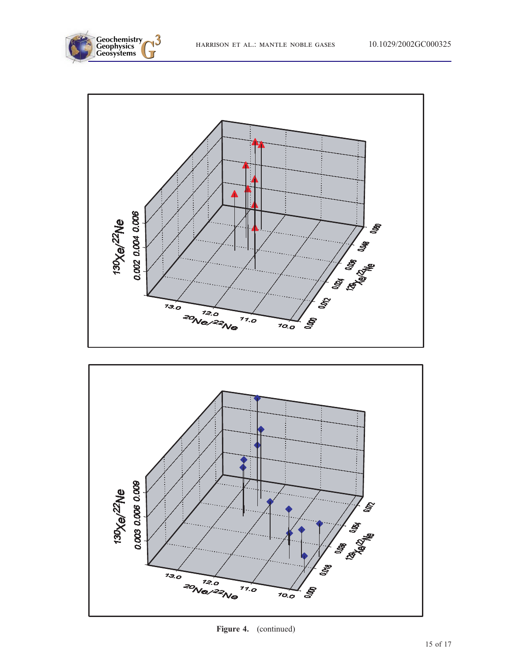





Figure 4. (continued)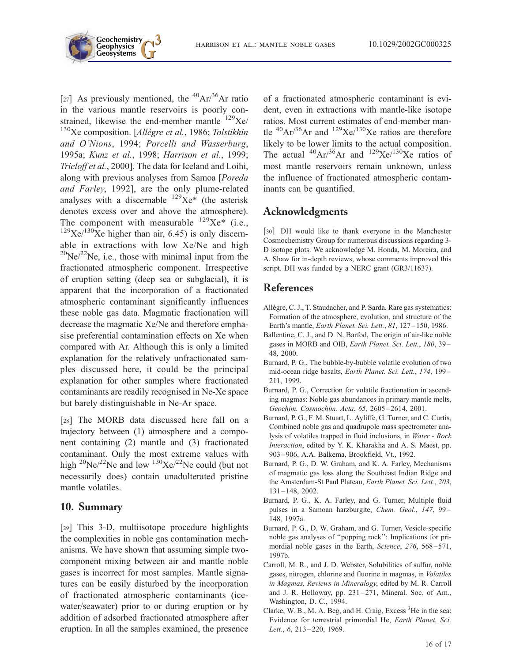

[27] As previously mentioned, the  ${}^{40}Ar/{}^{36}Ar$  ratio in the various mantle reservoirs is poorly constrained, likewise the end-member mantle  $^{129}$ Xe/  $130$ Xe composition. [Allègre et al., 1986; Tolstikhin and O'Nions, 1994; Porcelli and Wasserburg, 1995a; Kunz et al., 1998; Harrison et al., 1999; Trieloff et al., 2000]. The data for Iceland and Loihi, along with previous analyses from Samoa [Poreda and Farley, 1992], are the only plume-related analyses with a discernable  $^{129}\text{Xe}^*$  (the asterisk denotes excess over and above the atmosphere). The component with measurable  $^{129}Xe^*$  (i.e.,  $129$ Xe $/130$ Xe higher than air, 6.45) is only discernable in extractions with low Xe/Ne and high  $^{20}$ Ne/ $^{22}$ Ne, i.e., those with minimal input from the fractionated atmospheric component. Irrespective of eruption setting (deep sea or subglacial), it is apparent that the incorporation of a fractionated atmospheric contaminant significantly influences these noble gas data. Magmatic fractionation will decrease the magmatic Xe/Ne and therefore emphasise preferential contamination effects on Xe when compared with Ar. Although this is only a limited explanation for the relatively unfractionated samples discussed here, it could be the principal explanation for other samples where fractionated contaminants are readily recognised in Ne-Xe space but barely distinguishable in Ne-Ar space.

[28] The MORB data discussed here fall on a trajectory between (1) atmosphere and a component containing (2) mantle and (3) fractionated contaminant. Only the most extreme values with high  ${}^{20}Ne/{}^{22}Ne$  and low  ${}^{130}Xe/{}^{22}Ne$  could (but not necessarily does) contain unadulterated pristine mantle volatiles.

#### 10. Summary

[29] This 3-D, multiisotope procedure highlights the complexities in noble gas contamination mechanisms. We have shown that assuming simple twocomponent mixing between air and mantle noble gases is incorrect for most samples. Mantle signatures can be easily disturbed by the incorporation of fractionated atmospheric contaminants (icewater/seawater) prior to or during eruption or by addition of adsorbed fractionated atmosphere after eruption. In all the samples examined, the presence

of a fractionated atmospheric contaminant is evident, even in extractions with mantle-like isotope ratios. Most current estimates of end-member mantle  ${}^{40}Ar/{}^{36}Ar$  and  ${}^{129}Xe/{}^{130}Xe$  ratios are therefore likely to be lower limits to the actual composition. The actual  ${}^{40}Ar/{}^{36}Ar$  and  ${}^{129}Xe/{}^{130}Xe$  ratios of most mantle reservoirs remain unknown, unless the influence of fractionated atmospheric contaminants can be quantified.

#### Acknowledgments

[30] DH would like to thank everyone in the Manchester Cosmochemistry Group for numerous discussions regarding 3- D isotope plots. We acknowledge M. Honda, M. Moreira, and A. Shaw for in-depth reviews, whose comments improved this script. DH was funded by a NERC grant (GR3/11637).

#### References

- Allègre, C. J., T. Staudacher, and P. Sarda, Rare gas systematics: Formation of the atmosphere, evolution, and structure of the Earth's mantle, *Earth Planet. Sci. Lett.*, 81, 127-150, 1986.
- Ballentine, C. J., and D. N. Barfod, The origin of air-like noble gases in MORB and OIB, Earth Planet. Sci. Lett., 180, 39-48, 2000.
- Burnard, P. G., The bubble-by-bubble volatile evolution of two mid-ocean ridge basalts, Earth Planet. Sci. Lett., 174, 199 – 211, 1999.
- Burnard, P. G., Correction for volatile fractionation in ascending magmas: Noble gas abundances in primary mantle melts, Geochim. Cosmochim. Acta, 65, 2605 – 2614, 2001.
- Burnard, P. G., F. M. Stuart, L. Ayliffe, G. Turner, and C. Curtis, Combined noble gas and quadrupole mass spectrometer analysis of volatiles trapped in fluid inclusions, in Water - Rock Interaction, edited by Y. K. Kharakha and A. S. Maest, pp. 903 – 906, A.A. Balkema, Brookfield, Vt., 1992.
- Burnard, P. G., D. W. Graham, and K. A. Farley, Mechanisms of magmatic gas loss along the Southeast Indian Ridge and the Amsterdam-St Paul Plateau, Earth Planet. Sci. Lett., 203, 131 – 148, 2002.
- Burnard, P. G., K. A. Farley, and G. Turner, Multiple fluid pulses in a Samoan harzburgite, Chem. Geol., 147, 99-148, 1997a.
- Burnard, P. G., D. W. Graham, and G. Turner, Vesicle-specific noble gas analyses of ''popping rock'': Implications for primordial noble gases in the Earth, Science, 276, 568-571, 1997b.
- Carroll, M. R., and J. D. Webster, Solubilities of sulfur, noble gases, nitrogen, chlorine and fluorine in magmas, in Volatiles in Magmas, Reviews in Mineralogy, edited by M. R. Carroll and J. R. Holloway, pp. 231-271, Mineral. Soc. of Am., Washington, D. C., 1994.
- Clarke, W. B., M. A. Beg, and H. Craig, Excess <sup>3</sup>He in the sea: Evidence for terrestrial primordial He, Earth Planet. Sci. Lett., 6, 213-220, 1969.